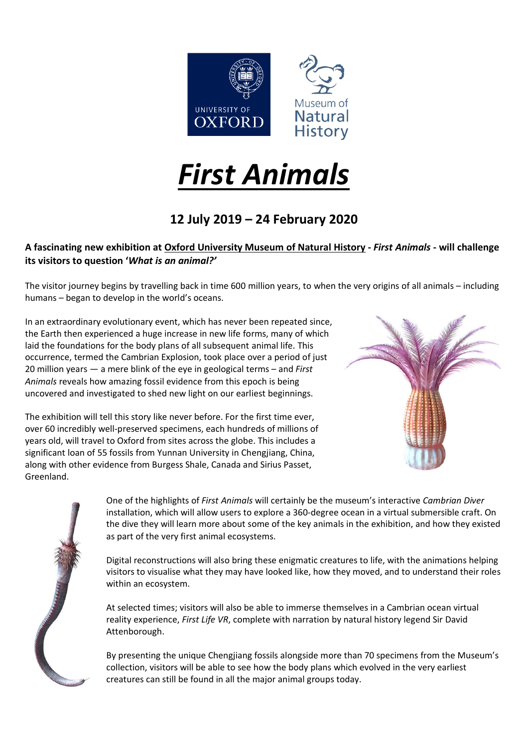

# *First Animals*

# **12 July 2019 – 24 February 2020**

## A fascinating new exhibition at Oxford [University](http://www.oumnh.ox.ac.uk/) Museum of Natural History - First Animals - will challenge **its visitors to question '***What is an animal?'*

The visitor journey begins by travelling back in time 600 million years, to when the very origins of all animals – including humans – began to develop in the world's oceans.

In an extraordinary evolutionary event, which has never been repeated since, the Earth then experienced a huge increase in new life forms, many of which laid the foundations for the body plans of all subsequent animal life. This occurrence, termed the Cambrian Explosion, took place over a period of just 20 million years — a mere blink of the eye in geological terms – and *First Animals* reveals how amazing fossil evidence from this epoch is being uncovered and investigated to shed new light on our earliest beginnings.

The exhibition will tell this story like never before. For the first time ever, over 60 incredibly well-preserved specimens, each hundreds of millions of years old, will travel to Oxford from sites across the globe. This includes a significant loan of 55 fossils from Yunnan University in Chengjiang, China, along with other evidence from Burgess Shale, Canada and Sirius Passet, Greenland.





One of the highlights of *First Animals* will certainly be the museum's interactive *Cambrian Diver* installation, which will allow users to explore a 360-degree ocean in a virtual submersible craft. On the dive they will learn more about some of the key animals in the exhibition, and how they existed as part of the very first animal ecosystems.

Digital reconstructions will also bring these enigmatic creatures to life, with the animations helping visitors to visualise what they may have looked like, how they moved, and to understand their roles within an ecosystem.

At selected times; visitors will also be able to immerse themselves in a Cambrian ocean virtual reality experience, *First Life VR*, complete with narration by natural history legend Sir David Attenborough.

By presenting the unique Chengjiang fossils alongside more than 70 specimens from the Museum's collection, visitors will be able to see how the body plans which evolved in the very earliest creatures can still be found in all the major animal groups today.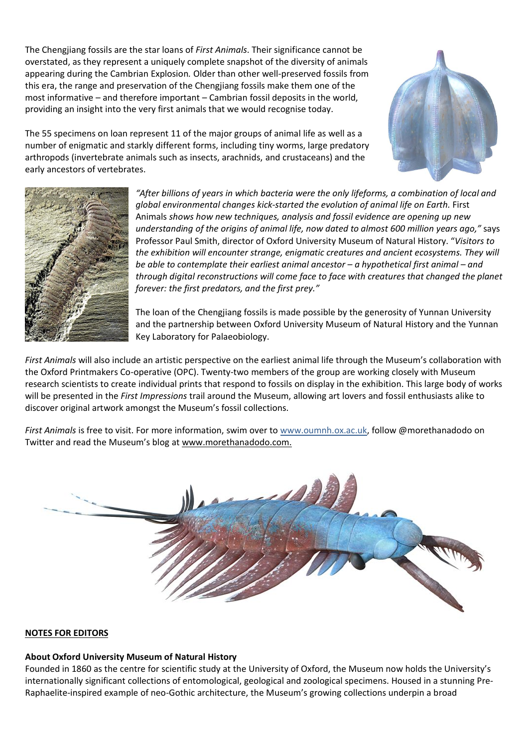The Chengjiang fossils are the star loans of *First Animals*. Their significance cannot be overstated, as they represent a uniquely complete snapshot of the diversity of animals appearing during the Cambrian Explosion*.* Older than other well-preserved fossils from this era, the range and preservation of the Chengjiang fossils make them one of the most informative – and therefore important – Cambrian fossil deposits in the world, providing an insight into the very first animals that we would recognise today.



The 55 specimens on loan represent 11 of the major groups of animal life as well as a number of enigmatic and starkly different forms, including tiny worms, large predatory arthropods (invertebrate animals such as insects, arachnids, and crustaceans) and the early ancestors of vertebrates.



*"After billions of years in which bacteria were the only lifeforms, a combination of local and global environmental changes kick-started the evolution of animal life on Earth.* First Animals *shows how new techniques, analysis and fossil evidence are opening up new understanding of the origins of animal life, now dated to almost 600 million years ago,"* says Professor Paul Smith, director of Oxford University Museum of Natural History. "*Visitors to the exhibition will encounter strange, enigmatic creatures and ancient ecosystems. They will be able to contemplate their earliest animal ancestor – a hypothetical first animal – and through digital reconstructions will come face to face with creatures that changed the planet forever: the first predators, and the first prey."*

The loan of the Chengjiang fossils is made possible by the generosity of Yunnan University and the partnership between Oxford University Museum of Natural History and the Yunnan Key Laboratory for Palaeobiology.

*First Animals* will also include an artistic perspective on the earliest animal life through the Museum's collaboration with the Oxford Printmakers Co-operative (OPC). Twenty-two members of the group are working closely with Museum research scientists to create individual prints that respond to fossils on display in the exhibition. This large body of works will be presented in the *First Impressions* trail around the Museum, allowing art lovers and fossil enthusiasts alike to discover original artwork amongst the Museum's fossil collections.

*First Animals* is free to visit. For more information, swim over to [www.oumnh.ox.ac.uk,](http://www.oumnh.ox.ac.uk/) follow @morethanadodo on Twitter and read the Museum's blog at [www.morethanadodo.com.](http://www.morethanadodo.com/)



#### **NOTES FOR EDITORS**

## **About Oxford University Museum of Natural History**

Founded in 1860 as the centre for scientific study at the University of Oxford, the Museum now holds the University's internationally significant collections of entomological, geological and zoological specimens. Housed in a stunning Pre-Raphaelite-inspired example of neo-Gothic architecture, the Museum's growing collections underpin a broad